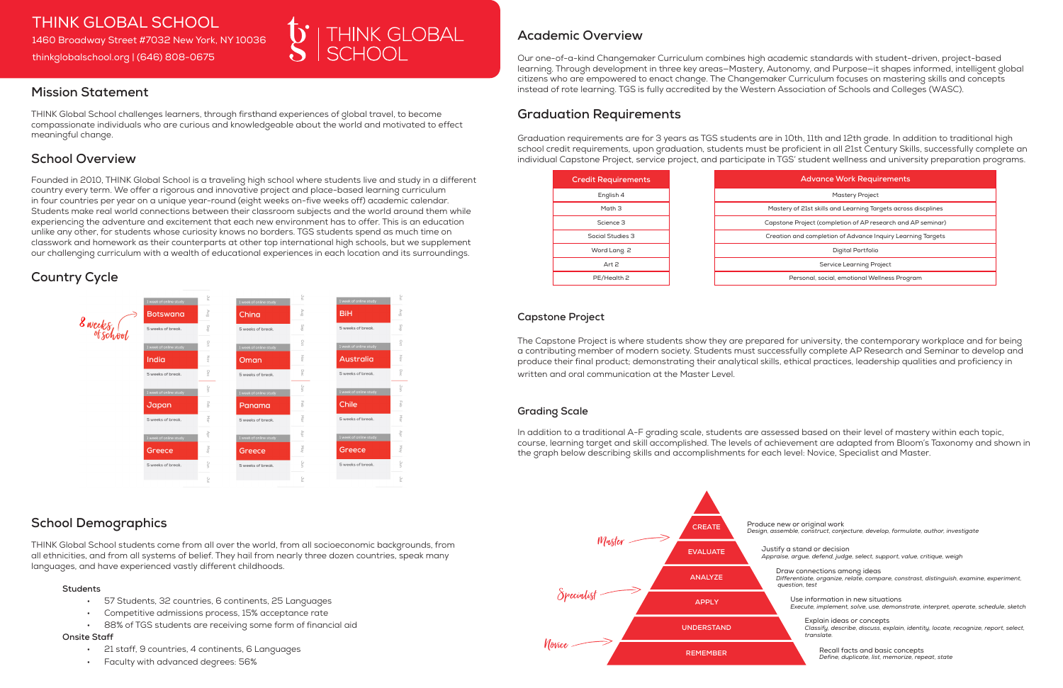# **Mission Statement**

THINK Global School challenges learners, through firsthand experiences of global travel, to become compassionate individuals who are curious and knowledgeable about the world and motivated to effect meaningful change.

# **School Overview**

Founded in 2010, THINK Global School is a traveling high school where students live and study in a different country every term. We offer a rigorous and innovative project and place-based learning curriculum in four countries per year on a unique year-round (eight weeks on-five weeks off) academic calendar. Students make real world connections between their classroom subjects and the world around them while experiencing the adventure and excitement that each new environment has to offer. This is an education unlike any other, for students whose curiosity knows no borders. TGS students spend as much time on classwork and homework as their counterparts at other top international high schools, but we supplement our challenging curriculum with a wealth of educational experiences in each location and its surroundings.

# **Country Cycle**



### **Academic Overview**

Our one-of-a-kind Changemaker Curriculum combines high academic standards with student-driven, project-based learning. Through development in three key areas—Mastery, Autonomy, and Purpose—it shapes informed, intelligent global citizens who are empowered to enact change. The Changemaker Curriculum focuses on mastering skills and concepts instead of rote learning. TGS is fully accredited by the Western Association of Schools and Colleges (WASC).

# **Graduation Requirements**

Graduation requirements are for 3 years as TGS students are in 10th, 11th and 12th grade. In addition to traditional high school credit requirements, upon graduation, students must be proficient in all 21st Century Skills, successfully complete an individual Capstone Project, service project, and participate in TGS' student wellness and university preparation programs.

- 57 Students, 32 countries, 6 continents, 25 Languages
- Competitive admissions process, 15% acceptance rate
- 88% of TGS students are receiving some form of financial aid

| <b>Advance Work Requirements</b>                              |  |  |
|---------------------------------------------------------------|--|--|
| <b>Mastery Project</b>                                        |  |  |
| Mastery of 21st skills and Learning Targets across discplines |  |  |
| Capstone Project (completion of AP research and AP seminar)   |  |  |
| Creation and completion of Advance Inquiry Learning Targets   |  |  |
| Digital Portfolio                                             |  |  |
| Service Learning Project                                      |  |  |
| Personal, social, emotional Wellness Program                  |  |  |



#### **Capstone Project**

The Capstone Project is where students show they are prepared for university, the contemporary workplace and for being a contributing member of modern society. Students must successfully complete AP Research and Seminar to develop and produce their final product; demonstrating their analytical skills, ethical practices, leadership qualities and proficiency in written and oral communication at the Master Level.

#### **Grading Scale**

In addition to a traditional A-F grading scale, students are assessed based on their level of mastery within each topic, course, learning target and skill accomplished. The levels of achievement are adapted from Bloom's Taxonomy and shown in the graph below describing skills and accomplishments for each level: Novice, Specialist and Master.

## THINK GLOBAL SCHOOL 1460 Broadway Street #7032 New York, NY 10036 thinkglobalschool.org | (646) 808-0675



## **School Demographics**

THINK Global School students come from all over the world, from all socioeconomic backgrounds, from all ethnicities, and from all systems of belief. They hail from nearly three dozen countries, speak many languages, and have experienced vastly different childhoods.

#### **Students**

#### **Onsite Staff**

- 21 staff, 9 countries, 4 continents, 6 Languages
- Faculty with advanced degrees: 56%



Produce new or original work *Design, assemble, construct, conjecture, develop, formulate, author, investigate*

Justify a stand or decision *Appraise, argue, defend, judge, select, support, value, critique, weigh*

Draw connections among ideas *Differentiate, organize, relate, compare, constrast, distinguish, examine, experiment, question, test*

Use information in new situations *Execute, implement, solve, use, demonstrate, interpret, operate, schedule, sketch*

Explain ideas or concepts *Classify, describe, discuss, explain, identity, locate, recognize, report, select, translate.*

Recall facts and basic concepts *Define, duplicate, list, memorize, repeat, state*